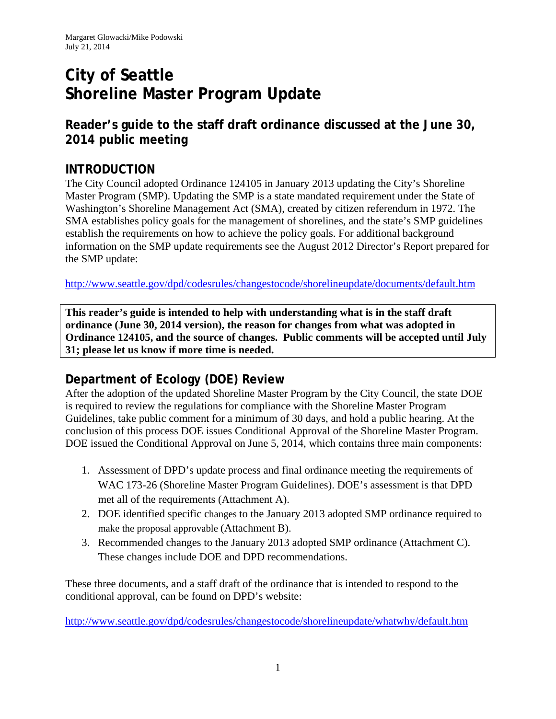# **City of Seattle Shoreline Master Program Update**

**Reader's guide to the staff draft ordinance discussed at the June 30, 2014 public meeting** 

#### **INTRODUCTION**

The City Council adopted Ordinance 124105 in January 2013 updating the City's Shoreline Master Program (SMP). Updating the SMP is a state mandated requirement under the State of Washington's Shoreline Management Act (SMA), created by citizen referendum in 1972. The SMA establishes policy goals for the management of shorelines, and the state's SMP guidelines establish the requirements on how to achieve the policy goals. For additional background information on the SMP update requirements see the August 2012 Director's Report prepared for the SMP update:

http://www.seattle.gov/dpd/codesrules/changestocode/shorelineupdate/documents/default.htm

**This reader's guide is intended to help with understanding what is in the staff draft ordinance (June 30, 2014 version), the reason for changes from what was adopted in Ordinance 124105, and the source of changes. Public comments will be accepted until July 31; please let us know if more time is needed.** 

## **Department of Ecology (DOE) Review**

After the adoption of the updated Shoreline Master Program by the City Council, the state DOE is required to review the regulations for compliance with the Shoreline Master Program Guidelines, take public comment for a minimum of 30 days, and hold a public hearing. At the conclusion of this process DOE issues Conditional Approval of the Shoreline Master Program. DOE issued the Conditional Approval on June 5, 2014, which contains three main components:

- 1. Assessment of DPD's update process and final ordinance meeting the requirements of WAC 173-26 (Shoreline Master Program Guidelines). DOE's assessment is that DPD met all of the requirements (Attachment A).
- 2. DOE identified specific changes to the January 2013 adopted SMP ordinance required to make the proposal approvable (Attachment B).
- 3. Recommended changes to the January 2013 adopted SMP ordinance (Attachment C). These changes include DOE and DPD recommendations.

These three documents, and a staff draft of the ordinance that is intended to respond to the conditional approval, can be found on DPD's website:

http://www.seattle.gov/dpd/codesrules/changestocode/shorelineupdate/whatwhy/default.htm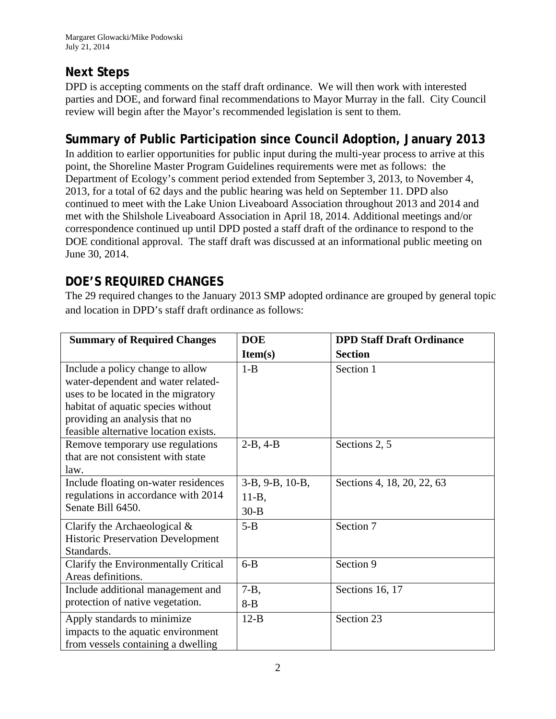# **Next Steps**

DPD is accepting comments on the staff draft ordinance. We will then work with interested parties and DOE, and forward final recommendations to Mayor Murray in the fall. City Council review will begin after the Mayor's recommended legislation is sent to them.

# **Summary of Public Participation since Council Adoption, January 2013**

In addition to earlier opportunities for public input during the multi-year process to arrive at this point, the Shoreline Master Program Guidelines requirements were met as follows: the Department of Ecology's comment period extended from September 3, 2013, to November 4, 2013, for a total of 62 days and the public hearing was held on September 11. DPD also continued to meet with the Lake Union Liveaboard Association throughout 2013 and 2014 and met with the Shilshole Liveaboard Association in April 18, 2014. Additional meetings and/or correspondence continued up until DPD posted a staff draft of the ordinance to respond to the DOE conditional approval. The staff draft was discussed at an informational public meeting on June 30, 2014.

# **DOE'S REQUIRED CHANGES**

The 29 required changes to the January 2013 SMP adopted ordinance are grouped by general topic and location in DPD's staff draft ordinance as follows:

| <b>Summary of Required Changes</b>       | <b>DOE</b>      | <b>DPD Staff Draft Ordinance</b> |
|------------------------------------------|-----------------|----------------------------------|
|                                          | Item(s)         | <b>Section</b>                   |
| Include a policy change to allow         | $1 - B$         | Section 1                        |
| water-dependent and water related-       |                 |                                  |
| uses to be located in the migratory      |                 |                                  |
| habitat of aquatic species without       |                 |                                  |
| providing an analysis that no            |                 |                                  |
| feasible alternative location exists.    |                 |                                  |
| Remove temporary use regulations         | $2-B, 4-B$      | Sections 2, 5                    |
| that are not consistent with state       |                 |                                  |
| law.                                     |                 |                                  |
| Include floating on-water residences     | 3-B, 9-B, 10-B, | Sections 4, 18, 20, 22, 63       |
| regulations in accordance with 2014      | $11-B$ ,        |                                  |
| Senate Bill 6450.                        | $30 - B$        |                                  |
| Clarify the Archaeological $\&$          | $5 - B$         | Section 7                        |
| <b>Historic Preservation Development</b> |                 |                                  |
| Standards.                               |                 |                                  |
| Clarify the Environmentally Critical     | $6 - B$         | Section 9                        |
| Areas definitions.                       |                 |                                  |
| Include additional management and        | $7 - B$ ,       | Sections 16, 17                  |
| protection of native vegetation.         | $8 - B$         |                                  |
| Apply standards to minimize              | $12-B$          | Section 23                       |
| impacts to the aquatic environment       |                 |                                  |
| from vessels containing a dwelling       |                 |                                  |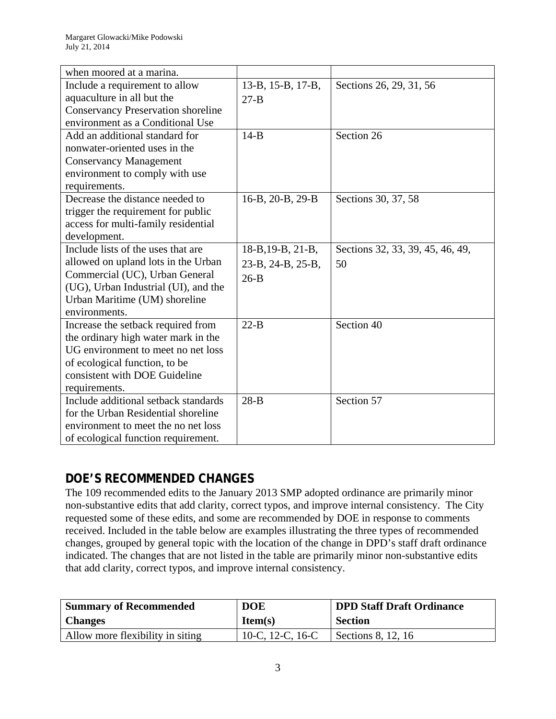| when moored at a marina.                  |                   |                                  |
|-------------------------------------------|-------------------|----------------------------------|
| Include a requirement to allow            | 13-B, 15-B, 17-B, | Sections 26, 29, 31, 56          |
| aquaculture in all but the                | $27 - B$          |                                  |
| <b>Conservancy Preservation shoreline</b> |                   |                                  |
| environment as a Conditional Use          |                   |                                  |
| Add an additional standard for            | $14-B$            | Section 26                       |
| nonwater-oriented uses in the             |                   |                                  |
| <b>Conservancy Management</b>             |                   |                                  |
| environment to comply with use            |                   |                                  |
| requirements.                             |                   |                                  |
| Decrease the distance needed to           | 16-B, 20-B, 29-B  | Sections 30, 37, 58              |
| trigger the requirement for public        |                   |                                  |
| access for multi-family residential       |                   |                                  |
| development.                              |                   |                                  |
| Include lists of the uses that are        | 18-B, 19-B, 21-B, | Sections 32, 33, 39, 45, 46, 49, |
| allowed on upland lots in the Urban       | 23-B, 24-B, 25-B, | 50                               |
| Commercial (UC), Urban General            | $26-B$            |                                  |
| (UG), Urban Industrial (UI), and the      |                   |                                  |
| Urban Maritime (UM) shoreline             |                   |                                  |
| environments.                             |                   |                                  |
| Increase the setback required from        | $22-B$            | Section 40                       |
| the ordinary high water mark in the       |                   |                                  |
| UG environment to meet no net loss        |                   |                                  |
| of ecological function, to be             |                   |                                  |
| consistent with DOE Guideline             |                   |                                  |
| requirements.                             |                   |                                  |
| Include additional setback standards      | $28-B$            | Section 57                       |
| for the Urban Residential shoreline       |                   |                                  |
| environment to meet the no net loss       |                   |                                  |
| of ecological function requirement.       |                   |                                  |

# **DOE'S RECOMMENDED CHANGES**

The 109 recommended edits to the January 2013 SMP adopted ordinance are primarily minor non-substantive edits that add clarity, correct typos, and improve internal consistency. The City requested some of these edits, and some are recommended by DOE in response to comments received. Included in the table below are examples illustrating the three types of recommended changes, grouped by general topic with the location of the change in DPD's staff draft ordinance indicated. The changes that are not listed in the table are primarily minor non-substantive edits that add clarity, correct typos, and improve internal consistency.

| <b>Summary of Recommended</b>    | <b>DOE</b>       | <b>DPD Staff Draft Ordinance</b> |
|----------------------------------|------------------|----------------------------------|
| <b>Changes</b>                   | Item(s)          | <b>Section</b>                   |
| Allow more flexibility in siting | 10-C, 12-C, 16-C | Sections 8, 12, 16               |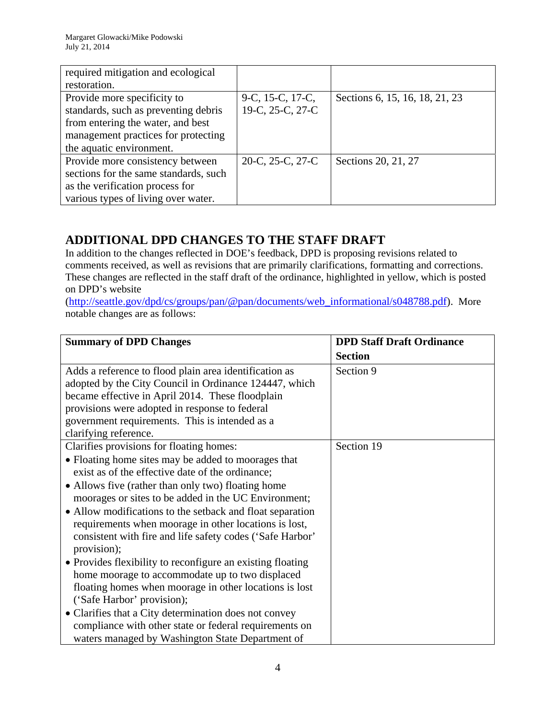| required mitigation and ecological    |                          |                                |
|---------------------------------------|--------------------------|--------------------------------|
| restoration.                          |                          |                                |
| Provide more specificity to           | 9-C, 15-C, 17-C,         | Sections 6, 15, 16, 18, 21, 23 |
| standards, such as preventing debris  | 19-C, 25-C, 27-C         |                                |
| from entering the water, and best     |                          |                                |
| management practices for protecting   |                          |                                |
| the aquatic environment.              |                          |                                |
| Provide more consistency between      | $20-C$ , $25-C$ , $27-C$ | Sections 20, 21, 27            |
| sections for the same standards, such |                          |                                |
| as the verification process for       |                          |                                |
| various types of living over water.   |                          |                                |

## **ADDITIONAL DPD CHANGES TO THE STAFF DRAFT**

In addition to the changes reflected in DOE's feedback, DPD is proposing revisions related to comments received, as well as revisions that are primarily clarifications, formatting and corrections. These changes are reflected in the staff draft of the ordinance, highlighted in yellow, which is posted on DPD's website

(http://seattle.gov/dpd/cs/groups/pan/@pan/documents/web\_informational/s048788.pdf). More notable changes are as follows:

| <b>Summary of DPD Changes</b>                              | <b>DPD Staff Draft Ordinance</b> |
|------------------------------------------------------------|----------------------------------|
|                                                            | <b>Section</b>                   |
| Adds a reference to flood plain area identification as     | Section 9                        |
| adopted by the City Council in Ordinance 124447, which     |                                  |
| became effective in April 2014. These floodplain           |                                  |
| provisions were adopted in response to federal             |                                  |
| government requirements. This is intended as a             |                                  |
| clarifying reference.                                      |                                  |
| Clarifies provisions for floating homes:                   | Section 19                       |
| • Floating home sites may be added to moorages that        |                                  |
| exist as of the effective date of the ordinance;           |                                  |
| • Allows five (rather than only two) floating home         |                                  |
| moorages or sites to be added in the UC Environment;       |                                  |
| • Allow modifications to the setback and float separation  |                                  |
| requirements when moorage in other locations is lost,      |                                  |
| consistent with fire and life safety codes ('Safe Harbor'  |                                  |
| provision);                                                |                                  |
| • Provides flexibility to reconfigure an existing floating |                                  |
| home moorage to accommodate up to two displaced            |                                  |
| floating homes when moorage in other locations is lost     |                                  |
| ('Safe Harbor' provision);                                 |                                  |
| • Clarifies that a City determination does not convey      |                                  |
| compliance with other state or federal requirements on     |                                  |
| waters managed by Washington State Department of           |                                  |